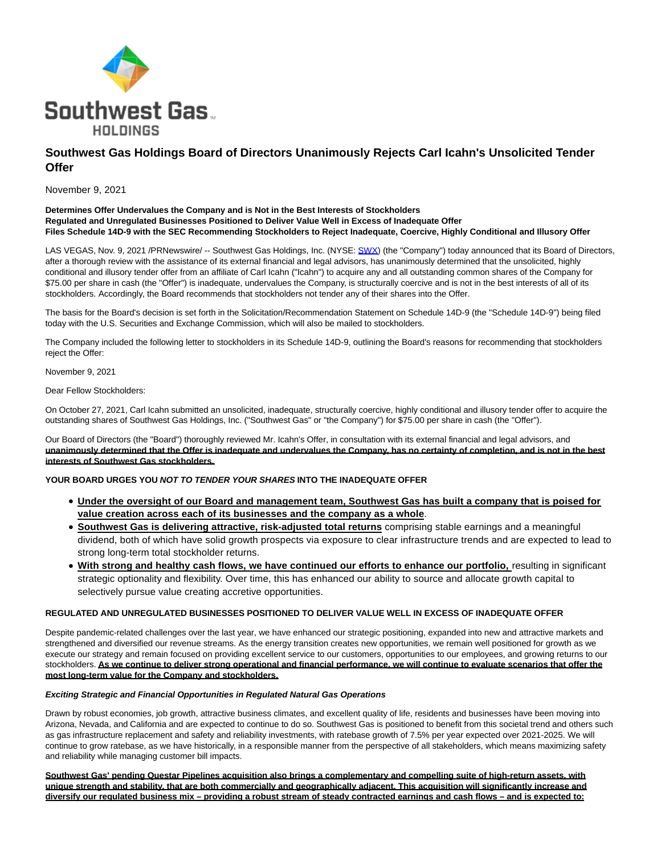

# **Southwest Gas Holdings Board of Directors Unanimously Rejects Carl Icahn's Unsolicited Tender Offer**

November 9, 2021

### **Determines Offer Undervalues the Company and is Not in the Best Interests of Stockholders Regulated and Unregulated Businesses Positioned to Deliver Value Well in Excess of Inadequate Offer Files Schedule 14D-9 with the SEC Recommending Stockholders to Reject Inadequate, Coercive, Highly Conditional and Illusory Offer**

LAS VEGAS, Nov. 9, 2021 /PRNewswire/ -- Southwest Gas Holdings, Inc. (NYSE: [SWX\)](https://www.prnewswire.com/news-releases/southwest-gas-holdings-board-of-directors-unanimously-rejects-carl-icahns-unsolicited-tender-offer-301419538.html#financial-modal) (the "Company") today announced that its Board of Directors, after a thorough review with the assistance of its external financial and legal advisors, has unanimously determined that the unsolicited, highly conditional and illusory tender offer from an affiliate of Carl Icahn ("Icahn") to acquire any and all outstanding common shares of the Company for \$75.00 per share in cash (the "Offer") is inadequate, undervalues the Company, is structurally coercive and is not in the best interests of all of its stockholders. Accordingly, the Board recommends that stockholders not tender any of their shares into the Offer.

The basis for the Board's decision is set forth in the Solicitation/Recommendation Statement on Schedule 14D-9 (the "Schedule 14D-9") being filed today with the U.S. Securities and Exchange Commission, which will also be mailed to stockholders.

The Company included the following letter to stockholders in its Schedule 14D-9, outlining the Board's reasons for recommending that stockholders reject the Offer:

November 9, 2021

Dear Fellow Stockholders:

On October 27, 2021, Carl Icahn submitted an unsolicited, inadequate, structurally coercive, highly conditional and illusory tender offer to acquire the outstanding shares of Southwest Gas Holdings, Inc. ("Southwest Gas" or "the Company") for \$75.00 per share in cash (the "Offer").

Our Board of Directors (the "Board") thoroughly reviewed Mr. Icahn's Offer, in consultation with its external financial and legal advisors, and **unanimously determined that the Offer is inadequate and undervalues the Company, has no certainty of completion, and is not in the best interests of Southwest Gas stockholders.**

## **YOUR BOARD URGES YOU NOT TO TENDER YOUR SHARES INTO THE INADEQUATE OFFER**

- **Under the oversight of our Board and management team, Southwest Gas has built a company that is poised for value creation across each of its businesses and the company as a whole**.
- **Southwest Gas is delivering attractive, risk-adjusted total returns** comprising stable earnings and a meaningful dividend, both of which have solid growth prospects via exposure to clear infrastructure trends and are expected to lead to strong long-term total stockholder returns.
- With strong and healthy cash flows, we have continued our efforts to enhance our portfolio, resulting in significant strategic optionality and flexibility. Over time, this has enhanced our ability to source and allocate growth capital to selectively pursue value creating accretive opportunities.

### **REGULATED AND UNREGULATED BUSINESSES POSITIONED TO DELIVER VALUE WELL IN EXCESS OF INADEQUATE OFFER**

Despite pandemic-related challenges over the last year, we have enhanced our strategic positioning, expanded into new and attractive markets and strengthened and diversified our revenue streams. As the energy transition creates new opportunities, we remain well positioned for growth as we execute our strategy and remain focused on providing excellent service to our customers, opportunities to our employees, and growing returns to our stockholders. **As we continue to deliver strong operational and financial performance, we will continue to evaluate scenarios that offer the most long-term value for the Company and stockholders.**

### **Exciting Strategic and Financial Opportunities in Regulated Natural Gas Operations**

Drawn by robust economies, job growth, attractive business climates, and excellent quality of life, residents and businesses have been moving into Arizona, Nevada, and California and are expected to continue to do so. Southwest Gas is positioned to benefit from this societal trend and others such as gas infrastructure replacement and safety and reliability investments, with ratebase growth of 7.5% per year expected over 2021-2025. We will continue to grow ratebase, as we have historically, in a responsible manner from the perspective of all stakeholders, which means maximizing safety and reliability while managing customer bill impacts.

**Southwest Gas' pending Questar Pipelines acquisition also brings a complementary and compelling suite of high-return assets, with unique strength and stability, that are both commercially and geographically adjacent. This acquisition will significantly increase and diversify our regulated business mix – providing a robust stream of steady contracted earnings and cash flows – and is expected to:**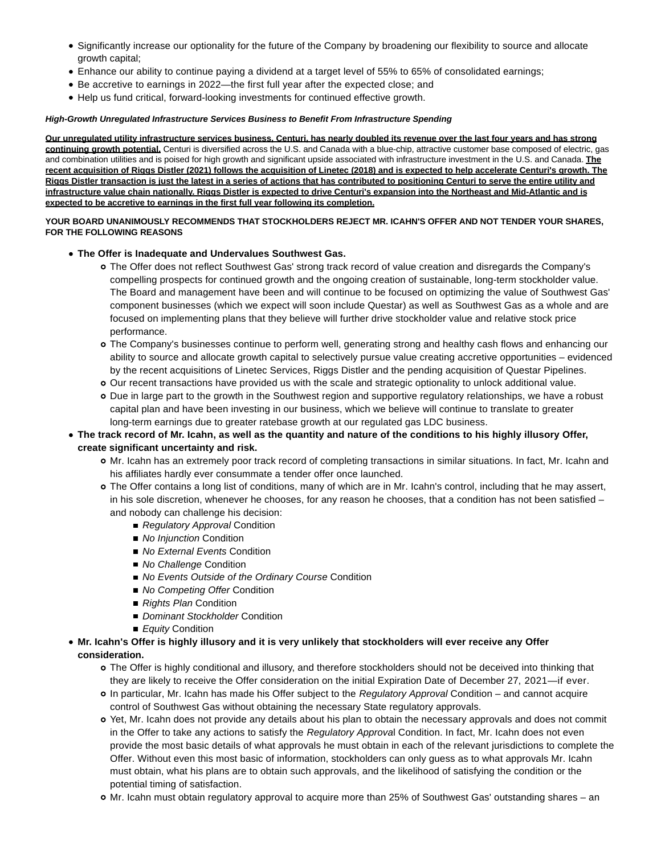- Significantly increase our optionality for the future of the Company by broadening our flexibility to source and allocate growth capital;
- Enhance our ability to continue paying a dividend at a target level of 55% to 65% of consolidated earnings;
- Be accretive to earnings in 2022—the first full year after the expected close; and
- Help us fund critical, forward-looking investments for continued effective growth.

## **High-Growth Unregulated Infrastructure Services Business to Benefit From Infrastructure Spending**

**Our unregulated utility infrastructure services business, Centuri, has nearly doubled its revenue over the last four years and has strong continuing growth potential.** Centuri is diversified across the U.S. and Canada with a blue-chip, attractive customer base composed of electric, gas and combination utilities and is poised for high growth and significant upside associated with infrastructure investment in the U.S. and Canada. **The recent acquisition of Riggs Distler (2021) follows the acquisition of Linetec (2018) and is expected to help accelerate Centuri's growth. The Riggs Distler transaction is just the latest in a series of actions that has contributed to positioning Centuri to serve the entire utility and infrastructure value chain nationally. Riggs Distler is expected to drive Centuri's expansion into the Northeast and Mid-Atlantic and is expected to be accretive to earnings in the first full year following its completion.**

## **YOUR BOARD UNANIMOUSLY RECOMMENDS THAT STOCKHOLDERS REJECT MR. ICAHN'S OFFER AND NOT TENDER YOUR SHARES, FOR THE FOLLOWING REASONS**

- **The Offer is Inadequate and Undervalues Southwest Gas.**
	- The Offer does not reflect Southwest Gas' strong track record of value creation and disregards the Company's compelling prospects for continued growth and the ongoing creation of sustainable, long-term stockholder value. The Board and management have been and will continue to be focused on optimizing the value of Southwest Gas' component businesses (which we expect will soon include Questar) as well as Southwest Gas as a whole and are focused on implementing plans that they believe will further drive stockholder value and relative stock price performance.
	- The Company's businesses continue to perform well, generating strong and healthy cash flows and enhancing our ability to source and allocate growth capital to selectively pursue value creating accretive opportunities – evidenced by the recent acquisitions of Linetec Services, Riggs Distler and the pending acquisition of Questar Pipelines.
	- Our recent transactions have provided us with the scale and strategic optionality to unlock additional value.
	- Due in large part to the growth in the Southwest region and supportive regulatory relationships, we have a robust capital plan and have been investing in our business, which we believe will continue to translate to greater long-term earnings due to greater ratebase growth at our regulated gas LDC business.

# **The track record of Mr. Icahn, as well as the quantity and nature of the conditions to his highly illusory Offer, create significant uncertainty and risk.**

- Mr. Icahn has an extremely poor track record of completing transactions in similar situations. In fact, Mr. Icahn and his affiliates hardly ever consummate a tender offer once launched.
- The Offer contains a long list of conditions, many of which are in Mr. Icahn's control, including that he may assert, in his sole discretion, whenever he chooses, for any reason he chooses, that a condition has not been satisfied – and nobody can challenge his decision:
	- Regulatory Approval Condition
	- No *Iniunction* Condition
	- No External Events Condition
	- No Challenge Condition
	- No Events Outside of the Ordinary Course Condition
	- No Competing Offer Condition
	- Rights Plan Condition
	- Dominant Stockholder Condition
	- Equity Condition
- **Mr. Icahn's Offer is highly illusory and it is very unlikely that stockholders will ever receive any Offer consideration.**
	- The Offer is highly conditional and illusory, and therefore stockholders should not be deceived into thinking that they are likely to receive the Offer consideration on the initial Expiration Date of December 27, 2021—if ever.
	- In particular, Mr. Icahn has made his Offer subject to the Regulatory Approval Condition and cannot acquire control of Southwest Gas without obtaining the necessary State regulatory approvals.
	- Yet, Mr. Icahn does not provide any details about his plan to obtain the necessary approvals and does not commit in the Offer to take any actions to satisfy the Regulatory Approval Condition. In fact, Mr. Icahn does not even provide the most basic details of what approvals he must obtain in each of the relevant jurisdictions to complete the Offer. Without even this most basic of information, stockholders can only guess as to what approvals Mr. Icahn must obtain, what his plans are to obtain such approvals, and the likelihood of satisfying the condition or the potential timing of satisfaction.
	- Mr. Icahn must obtain regulatory approval to acquire more than 25% of Southwest Gas' outstanding shares an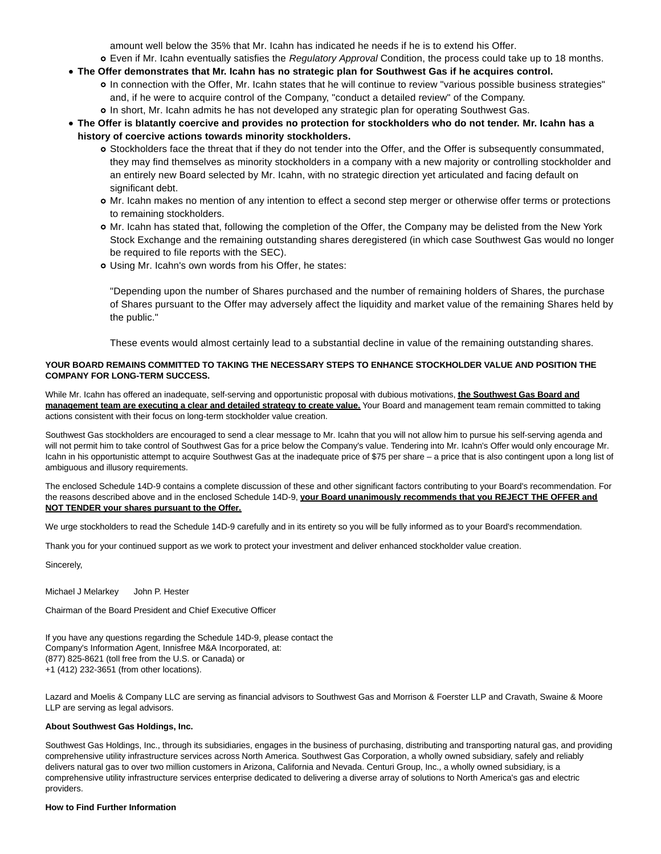amount well below the 35% that Mr. Icahn has indicated he needs if he is to extend his Offer.

o Even if Mr. Icahn eventually satisfies the Regulatory Approval Condition, the process could take up to 18 months.

- **The Offer demonstrates that Mr. Icahn has no strategic plan for Southwest Gas if he acquires control.** In connection with the Offer, Mr. Icahn states that he will continue to review "various possible business strategies" and, if he were to acquire control of the Company, "conduct a detailed review" of the Company.
	- In short, Mr. Icahn admits he has not developed any strategic plan for operating Southwest Gas.
- **The Offer is blatantly coercive and provides no protection for stockholders who do not tender. Mr. Icahn has a history of coercive actions towards minority stockholders.**
	- Stockholders face the threat that if they do not tender into the Offer, and the Offer is subsequently consummated, they may find themselves as minority stockholders in a company with a new majority or controlling stockholder and an entirely new Board selected by Mr. Icahn, with no strategic direction yet articulated and facing default on significant debt.
	- Mr. Icahn makes no mention of any intention to effect a second step merger or otherwise offer terms or protections to remaining stockholders.
	- Mr. Icahn has stated that, following the completion of the Offer, the Company may be delisted from the New York Stock Exchange and the remaining outstanding shares deregistered (in which case Southwest Gas would no longer be required to file reports with the SEC).
	- Using Mr. Icahn's own words from his Offer, he states:

"Depending upon the number of Shares purchased and the number of remaining holders of Shares, the purchase of Shares pursuant to the Offer may adversely affect the liquidity and market value of the remaining Shares held by the public."

These events would almost certainly lead to a substantial decline in value of the remaining outstanding shares.

# **YOUR BOARD REMAINS COMMITTED TO TAKING THE NECESSARY STEPS TO ENHANCE STOCKHOLDER VALUE AND POSITION THE COMPANY FOR LONG-TERM SUCCESS.**

While Mr. Icahn has offered an inadequate, self-serving and opportunistic proposal with dubious motivations, **the Southwest Gas Board and management team are executing a clear and detailed strategy to create value.** Your Board and management team remain committed to taking actions consistent with their focus on long-term stockholder value creation.

Southwest Gas stockholders are encouraged to send a clear message to Mr. Icahn that you will not allow him to pursue his self-serving agenda and will not permit him to take control of Southwest Gas for a price below the Company's value. Tendering into Mr. Icahn's Offer would only encourage Mr. Icahn in his opportunistic attempt to acquire Southwest Gas at the inadequate price of \$75 per share – a price that is also contingent upon a long list of ambiguous and illusory requirements.

The enclosed Schedule 14D-9 contains a complete discussion of these and other significant factors contributing to your Board's recommendation. For the reasons described above and in the enclosed Schedule 14D-9, **your Board unanimously recommends that you REJECT THE OFFER and NOT TENDER your shares pursuant to the Offer.**

We urge stockholders to read the Schedule 14D-9 carefully and in its entirety so you will be fully informed as to your Board's recommendation.

Thank you for your continued support as we work to protect your investment and deliver enhanced stockholder value creation.

Sincerely,

Michael J Melarkey John P. Hester

Chairman of the Board President and Chief Executive Officer

If you have any questions regarding the Schedule 14D-9, please contact the Company's Information Agent, Innisfree M&A Incorporated, at: (877) 825-8621 (toll free from the U.S. or Canada) or +1 (412) 232-3651 (from other locations).

Lazard and Moelis & Company LLC are serving as financial advisors to Southwest Gas and Morrison & Foerster LLP and Cravath, Swaine & Moore LLP are serving as legal advisors.

# **About Southwest Gas Holdings, Inc.**

Southwest Gas Holdings, Inc., through its subsidiaries, engages in the business of purchasing, distributing and transporting natural gas, and providing comprehensive utility infrastructure services across North America. Southwest Gas Corporation, a wholly owned subsidiary, safely and reliably delivers natural gas to over two million customers in Arizona, California and Nevada. Centuri Group, Inc., a wholly owned subsidiary, is a comprehensive utility infrastructure services enterprise dedicated to delivering a diverse array of solutions to North America's gas and electric providers.

# **How to Find Further Information**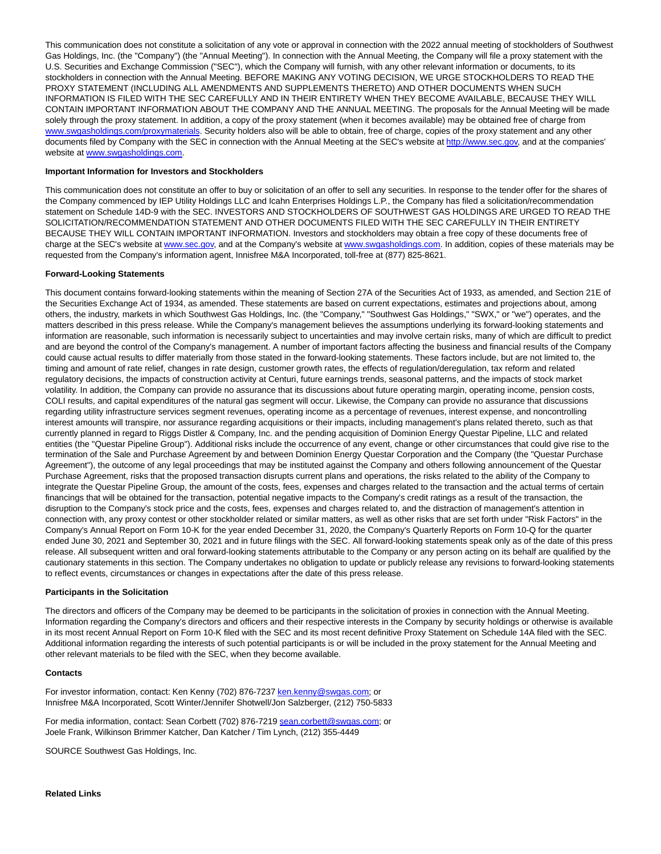This communication does not constitute a solicitation of any vote or approval in connection with the 2022 annual meeting of stockholders of Southwest Gas Holdings, Inc. (the "Company") (the "Annual Meeting"). In connection with the Annual Meeting, the Company will file a proxy statement with the U.S. Securities and Exchange Commission ("SEC"), which the Company will furnish, with any other relevant information or documents, to its stockholders in connection with the Annual Meeting. BEFORE MAKING ANY VOTING DECISION, WE URGE STOCKHOLDERS TO READ THE PROXY STATEMENT (INCLUDING ALL AMENDMENTS AND SUPPLEMENTS THERETO) AND OTHER DOCUMENTS WHEN SUCH INFORMATION IS FILED WITH THE SEC CAREFULLY AND IN THEIR ENTIRETY WHEN THEY BECOME AVAILABLE, BECAUSE THEY WILL CONTAIN IMPORTANT INFORMATION ABOUT THE COMPANY AND THE ANNUAL MEETING. The proposals for the Annual Meeting will be made solely through the proxy statement. In addition, a copy of the proxy statement (when it becomes available) may be obtained free of charge from [www.swgasholdings.com/proxymaterials.](https://c212.net/c/link/?t=0&l=en&o=3352076-1&h=316737885&u=https%3A%2F%2Fprotect-us.mimecast.com%2Fs%2FWGvoCR65kXUvGEQxQHN_gmC%3Fdomain%3Dswgasholdings.com&a=www.swgasholdings.com%2Fproxymaterials) Security holders also will be able to obtain, free of charge, copies of the proxy statement and any other documents filed by Company with the SEC in connection with the Annual Meeting at the SEC's website at [http://www.sec.gov,](http://www.sec.gov/) and at the companies' website at [www.swgasholdings.com.](https://c212.net/c/link/?t=0&l=en&o=3352076-1&h=529660936&u=http%3A%2F%2Fwww.swgasholdings.com%2F&a=www.swgasholdings.com)

### **Important Information for Investors and Stockholders**

This communication does not constitute an offer to buy or solicitation of an offer to sell any securities. In response to the tender offer for the shares of the Company commenced by IEP Utility Holdings LLC and Icahn Enterprises Holdings L.P., the Company has filed a solicitation/recommendation statement on Schedule 14D-9 with the SEC. INVESTORS AND STOCKHOLDERS OF SOUTHWEST GAS HOLDINGS ARE URGED TO READ THE SOLICITATION/RECOMMENDATION STATEMENT AND OTHER DOCUMENTS FILED WITH THE SEC CAREFULLY IN THEIR ENTIRETY BECAUSE THEY WILL CONTAIN IMPORTANT INFORMATION. Investors and stockholders may obtain a free copy of these documents free of charge at the SEC's website a[t www.sec.gov,](https://c212.net/c/link/?t=0&l=en&o=3352076-1&h=3642017783&u=https%3A%2F%2Fprotect-us.mimecast.com%2Fs%2F8YouCqx2koCnqE8jfZq5gX%3Fdomain%3Dsec.gov&a=www.sec.gov) and at the Company's website a[t www.swgasholdings.com.](https://c212.net/c/link/?t=0&l=en&o=3352076-1&h=1108928655&u=https%3A%2F%2Fprotect-us.mimecast.com%2Fs%2F_trJCv2jpwiqQY7ztzzalR%3Fdomain%3Dswgasholdings.com&a=www.swgasholdings.com) In addition, copies of these materials may be requested from the Company's information agent, Innisfree M&A Incorporated, toll-free at (877) 825-8621.

#### **Forward-Looking Statements**

This document contains forward-looking statements within the meaning of Section 27A of the Securities Act of 1933, as amended, and Section 21E of the Securities Exchange Act of 1934, as amended. These statements are based on current expectations, estimates and projections about, among others, the industry, markets in which Southwest Gas Holdings, Inc. (the "Company," "Southwest Gas Holdings," "SWX," or "we") operates, and the matters described in this press release. While the Company's management believes the assumptions underlying its forward-looking statements and information are reasonable, such information is necessarily subject to uncertainties and may involve certain risks, many of which are difficult to predict and are beyond the control of the Company's management. A number of important factors affecting the business and financial results of the Company could cause actual results to differ materially from those stated in the forward-looking statements. These factors include, but are not limited to, the timing and amount of rate relief, changes in rate design, customer growth rates, the effects of regulation/deregulation, tax reform and related regulatory decisions, the impacts of construction activity at Centuri, future earnings trends, seasonal patterns, and the impacts of stock market volatility. In addition, the Company can provide no assurance that its discussions about future operating margin, operating income, pension costs, COLI results, and capital expenditures of the natural gas segment will occur. Likewise, the Company can provide no assurance that discussions regarding utility infrastructure services segment revenues, operating income as a percentage of revenues, interest expense, and noncontrolling interest amounts will transpire, nor assurance regarding acquisitions or their impacts, including management's plans related thereto, such as that currently planned in regard to Riggs Distler & Company, Inc. and the pending acquisition of Dominion Energy Questar Pipeline, LLC and related entities (the "Questar Pipeline Group"). Additional risks include the occurrence of any event, change or other circumstances that could give rise to the termination of the Sale and Purchase Agreement by and between Dominion Energy Questar Corporation and the Company (the "Questar Purchase Agreement"), the outcome of any legal proceedings that may be instituted against the Company and others following announcement of the Questar Purchase Agreement, risks that the proposed transaction disrupts current plans and operations, the risks related to the ability of the Company to integrate the Questar Pipeline Group, the amount of the costs, fees, expenses and charges related to the transaction and the actual terms of certain financings that will be obtained for the transaction, potential negative impacts to the Company's credit ratings as a result of the transaction, the disruption to the Company's stock price and the costs, fees, expenses and charges related to, and the distraction of management's attention in connection with, any proxy contest or other stockholder related or similar matters, as well as other risks that are set forth under "Risk Factors" in the Company's Annual Report on Form 10-K for the year ended December 31, 2020, the Company's Quarterly Reports on Form 10-Q for the quarter ended June 30, 2021 and September 30, 2021 and in future filings with the SEC. All forward-looking statements speak only as of the date of this press release. All subsequent written and oral forward-looking statements attributable to the Company or any person acting on its behalf are qualified by the cautionary statements in this section. The Company undertakes no obligation to update or publicly release any revisions to forward-looking statements to reflect events, circumstances or changes in expectations after the date of this press release.

#### **Participants in the Solicitation**

The directors and officers of the Company may be deemed to be participants in the solicitation of proxies in connection with the Annual Meeting. Information regarding the Company's directors and officers and their respective interests in the Company by security holdings or otherwise is available in its most recent Annual Report on Form 10-K filed with the SEC and its most recent definitive Proxy Statement on Schedule 14A filed with the SEC. Additional information regarding the interests of such potential participants is or will be included in the proxy statement for the Annual Meeting and other relevant materials to be filed with the SEC, when they become available.

#### **Contacts**

For investor information, contact: Ken Kenny (702) 876-723[7 ken.kenny@swgas.com;](mailto:ken.kenny@swgas.com) or Innisfree M&A Incorporated, Scott Winter/Jennifer Shotwell/Jon Salzberger, (212) 750-5833

For media information, contact: Sean Corbett (702) 876-721[9 sean.corbett@swgas.com;](mailto:sean.corbett@swgas.com) or Joele Frank, Wilkinson Brimmer Katcher, Dan Katcher / Tim Lynch, (212) 355-4449

SOURCE Southwest Gas Holdings, Inc.